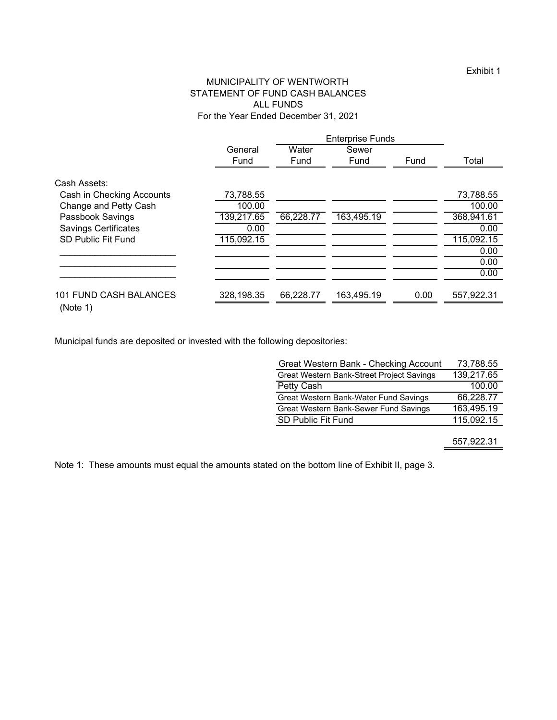# MUNICIPALITY OF WENTWORTH STATEMENT OF FUND CASH BALANCES ALL FUNDS For the Year Ended December 31, 2021

|                             |            | <b>Enterprise Funds</b> |            |      |            |
|-----------------------------|------------|-------------------------|------------|------|------------|
|                             | General    | Water                   | Sewer      |      |            |
|                             | Fund       | Fund                    | Fund       | Fund | Total      |
| Cash Assets:                |            |                         |            |      |            |
| Cash in Checking Accounts   | 73,788.55  |                         |            |      | 73,788.55  |
| Change and Petty Cash       | 100.00     |                         |            |      | 100.00     |
| Passbook Savings            | 139,217.65 | 66,228.77               | 163,495.19 |      | 368,941.61 |
| <b>Savings Certificates</b> | 0.00       |                         |            |      | 0.00       |
| <b>SD Public Fit Fund</b>   | 115,092.15 |                         |            |      | 115,092.15 |
|                             |            |                         |            |      | 0.00       |
|                             |            |                         |            |      | 0.00       |
|                             |            |                         |            |      | 0.00       |
| 101 FUND CASH BALANCES      | 328,198.35 | 66,228.77               | 163,495.19 | 0.00 | 557,922.31 |
| (Note 1)                    |            |                         |            |      |            |

Municipal funds are deposited or invested with the following depositories:

| Great Western Bank - Checking Account     | 73,788.55  |
|-------------------------------------------|------------|
| Great Western Bank-Street Project Savings | 139,217.65 |
| Petty Cash                                | 100.00     |
| Great Western Bank-Water Fund Savings     | 66,228.77  |
| Great Western Bank-Sewer Fund Savings     | 163,495.19 |
| SD Public Fit Fund                        | 115,092.15 |
|                                           |            |

557,922.31

Note 1: These amounts must equal the amounts stated on the bottom line of Exhibit II, page 3.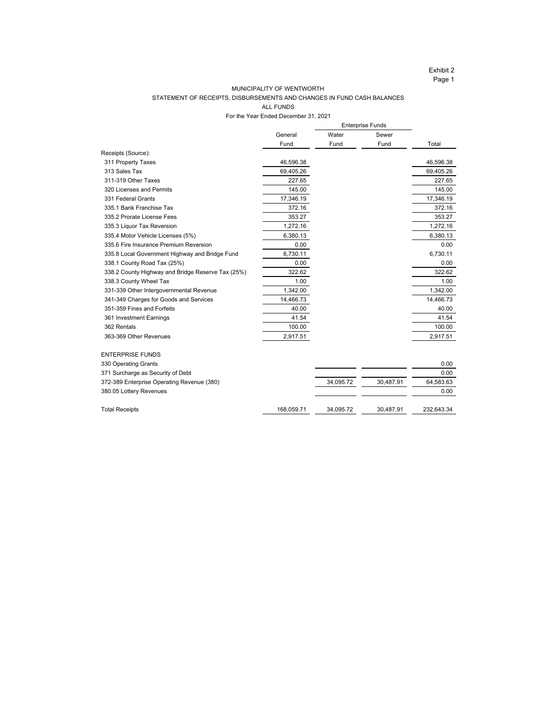### MUNICIPALITY OF WENTWORTH

## STATEMENT OF RECEIPTS, DISBURSEMENTS AND CHANGES IN FUND CASH BALANCES

ALL FUNDS

For the Year Ended December 31, 2021 Enterprise Funds

|                                                   |            | Enterprise Funds |           |            |
|---------------------------------------------------|------------|------------------|-----------|------------|
|                                                   | General    | Water            | Sewer     |            |
|                                                   | Fund       | Fund             | Fund      | Total      |
| Receipts (Source):                                |            |                  |           |            |
| 311 Property Taxes                                | 46,596.38  |                  |           | 46,596.38  |
| 313 Sales Tax                                     | 69,405.26  |                  |           | 69,405.26  |
| 311-319 Other Taxes                               | 227.65     |                  |           | 227.65     |
| 320 Licenses and Permits                          | 145.00     |                  |           | 145.00     |
| 331 Federal Grants                                | 17,346.19  |                  |           | 17,346.19  |
| 335.1 Bank Franchise Tax                          | 372.16     |                  |           | 372.16     |
| 335.2 Prorate License Fees                        | 353.27     |                  |           | 353.27     |
| 335.3 Liquor Tax Reversion                        | 1,272.16   |                  |           | 1,272.16   |
| 335.4 Motor Vehicle Licenses (5%)                 | 6,380.13   |                  |           | 6,380.13   |
| 335.6 Fire Insurance Premium Reversion            | 0.00       |                  |           | 0.00       |
| 335.8 Local Government Highway and Bridge Fund    | 6,730.11   |                  |           | 6,730.11   |
| 338.1 County Road Tax (25%)                       | 0.00       |                  |           | 0.00       |
| 338.2 County Highway and Bridge Reserve Tax (25%) | 322.62     |                  |           | 322.62     |
| 338.3 County Wheel Tax                            | 1.00       |                  |           | 1.00       |
| 331-339 Other Intergovernmental Revenue           | 1,342.00   |                  |           | 1,342.00   |
| 341-349 Charges for Goods and Services            | 14,466.73  |                  |           | 14,466.73  |
| 351-359 Fines and Forfeits                        | 40.00      |                  |           | 40.00      |
| 361 Investment Earnings                           | 41.54      |                  |           | 41.54      |
| 362 Rentals                                       | 100.00     |                  |           | 100.00     |
| 363-369 Other Revenues                            | 2,917.51   |                  |           | 2,917.51   |
|                                                   |            |                  |           |            |
| <b>ENTERPRISE FUNDS</b>                           |            |                  |           |            |
| 330 Operating Grants                              |            |                  |           | 0.00       |
| 371 Surcharge as Security of Debt                 |            |                  |           | 0.00       |
| 372-389 Enterprise Operating Revenue (380)        |            | 34,095.72        | 30,487.91 | 64,583.63  |
| 380.05 Lottery Revenues                           |            |                  |           | 0.00       |
| <b>Total Receipts</b>                             | 168,059.71 | 34,095.72        | 30,487.91 | 232,643.34 |
|                                                   |            |                  |           |            |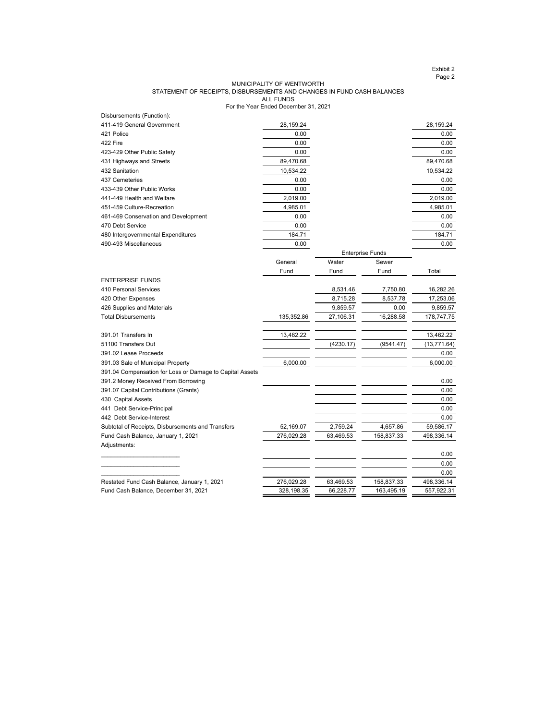Exhibit 2 Page 2

#### For the Year Ended December 31, 2021 MUNICIPALITY OF WENTWORTH STATEMENT OF RECEIPTS, DISBURSEMENTS AND CHANGES IN FUND CASH BALANCES ALL FUNDS

| Disbursements (Function):                                |            |                         |            |              |
|----------------------------------------------------------|------------|-------------------------|------------|--------------|
| 411-419 General Government                               | 28,159.24  |                         |            | 28,159.24    |
| 421 Police                                               | 0.00       |                         |            | 0.00         |
| 422 Fire                                                 | 0.00       |                         |            | 0.00         |
| 423-429 Other Public Safety                              | 0.00       |                         |            | 0.00         |
| 431 Highways and Streets                                 | 89,470.68  |                         |            | 89,470.68    |
| 432 Sanitation                                           | 10,534.22  |                         |            | 10,534.22    |
| 437 Cemeteries                                           | 0.00       |                         |            | 0.00         |
| 433-439 Other Public Works                               | 0.00       |                         |            | 0.00         |
| 441-449 Health and Welfare                               | 2,019.00   |                         |            | 2,019.00     |
| 451-459 Culture-Recreation                               | 4,985.01   |                         |            | 4,985.01     |
| 461-469 Conservation and Development                     | 0.00       |                         |            | 0.00         |
| 470 Debt Service                                         | 0.00       |                         |            | 0.00         |
| 480 Intergovernmental Expenditures                       | 184.71     |                         |            | 184.71       |
| 490-493 Miscellaneous                                    | 0.00       |                         |            | 0.00         |
|                                                          |            | <b>Enterprise Funds</b> |            |              |
|                                                          | General    | Water                   | Sewer      |              |
|                                                          | Fund       | Fund                    | Fund       | Total        |
| <b>ENTERPRISE FUNDS</b>                                  |            |                         |            |              |
| 410 Personal Services                                    |            | 8,531.46                | 7,750.80   | 16,282.26    |
| 420 Other Expenses                                       |            | 8,715.28                | 8,537.78   | 17,253.06    |
| 426 Supplies and Materials                               |            | 9,859.57                | 0.00       | 9,859.57     |
| <b>Total Disbursements</b>                               | 135,352.86 | 27,106.31               | 16,288.58  | 178,747.75   |
|                                                          |            |                         |            |              |
| 391.01 Transfers In                                      | 13,462.22  |                         |            | 13,462.22    |
| 51100 Transfers Out                                      |            | (4230.17)               | (9541.47)  | (13, 771.64) |
| 391.02 Lease Proceeds                                    |            |                         |            | 0.00         |
| 391.03 Sale of Municipal Property                        | 6,000.00   |                         |            | 6,000.00     |
| 391.04 Compensation for Loss or Damage to Capital Assets |            |                         |            |              |
| 391.2 Money Received From Borrowing                      |            |                         |            | 0.00         |
| 391.07 Capital Contributions (Grants)                    |            |                         |            | 0.00         |
| 430 Capital Assets                                       |            |                         |            | 0.00         |
| 441 Debt Service-Principal                               |            |                         |            | 0.00         |
| 442 Debt Service-Interest                                |            |                         |            | 0.00         |
| Subtotal of Receipts, Disbursements and Transfers        | 52,169.07  | 2,759.24                | 4,657.86   | 59,586.17    |
| Fund Cash Balance, January 1, 2021                       | 276,029.28 | 63,469.53               | 158,837.33 | 498,336.14   |
| Adjustments:                                             |            |                         |            |              |
|                                                          |            |                         |            | 0.00         |
|                                                          |            |                         |            | 0.00         |
|                                                          |            |                         |            | 0.00         |
| Restated Fund Cash Balance, January 1, 2021              | 276,029.28 | 63,469.53               | 158,837.33 | 498,336.14   |
| Fund Cash Balance, December 31, 2021                     | 328,198.35 | 66,228.77               | 163,495.19 | 557,922.31   |